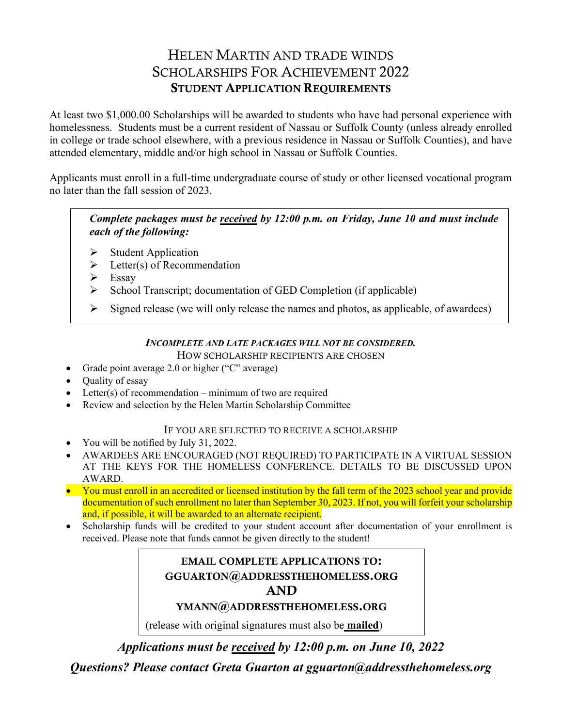# HELEN MARTIN AND TRADE WINDS SCHOLARSHIPS FOR ACHIEVEMENT 2022 STUDENT APPLICATION REQUIREMENTS

At least two \$1,000.00 Scholarships will be awarded to students who have had personal experience with homelessness. Students must be a current resident of Nassau or Suffolk County (unless already enrolled in college or trade school elsewhere, with a previous residence in Nassau or Suffolk Counties), and have attended elementary, middle and/or high school in Nassau or Suffolk Counties.

Applicants must enroll in a full-time undergraduate course of study or other licensed vocational program no later than the fall session of 2023.

*Complete packages must be received by 12:00 p.m. on Friday, June 10 and must include each of the following:*

- Student Application
- $\triangleright$  Letter(s) of Recommendation
- $\triangleright$  Essay
- $\triangleright$  School Transcript; documentation of GED Completion (if applicable)
- $\triangleright$  Signed release (we will only release the names and photos, as applicable, of awardees)

#### *INCOMPLETE AND LATE PACKAGES WILL NOT BE CONSIDERED.* HOW SCHOLARSHIP RECIPIENTS ARE CHOSEN

- Grade point average 2.0 or higher ("C" average)
- Quality of essay
- Letter(s) of recommendation minimum of two are required
- Review and selection by the Helen Martin Scholarship Committee

## IF YOU ARE SELECTED TO RECEIVE A SCHOLARSHIP

- You will be notified by July 31, 2022.
- AWARDEES ARE ENCOURAGED (NOT REQUIRED) TO PARTICIPATE IN A VIRTUAL SESSION AT THE KEYS FOR THE HOMELESS CONFERENCE. DETAILS TO BE DISCUSSED UPON AWARD.
- You must enroll in an accredited or licensed institution by the fall term of the 2023 school year and provide documentation of such enrollment no later than September 30, 2023. If not, you will forfeit your scholarship and, if possible, it will be awarded to an alternate recipient.
- Scholarship funds will be credited to your student account after documentation of your enrollment is received. Please note that funds cannot be given directly to the student!

# EMAIL COMPLETE APPLICATIONS TO: GGUARTON@ADDRESSTHEHOMELESS.ORG AND

# YMANN@ADDRESSTHEHOMELESS.ORG

(release with original signatures must also be **mailed**)

*Applications must be received by 12:00 p.m. on June 10, 2022*

*Questions? Please contact Greta Guarton at gguarton@addressthehomeless.org*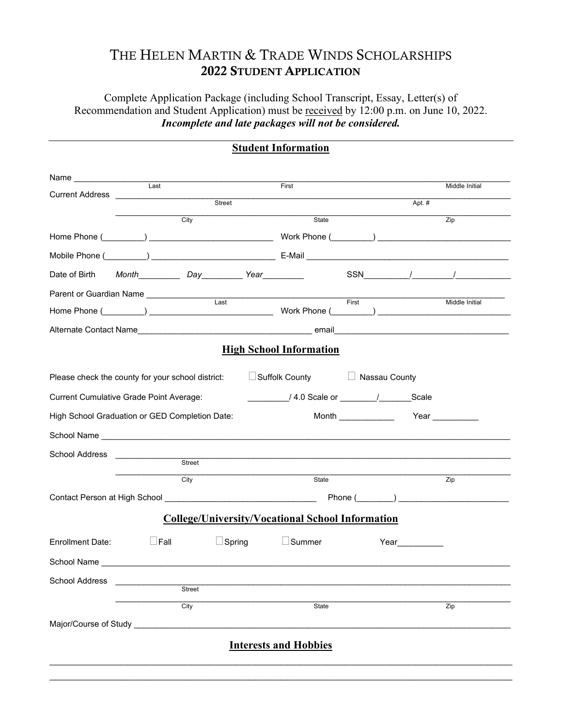# THE HELEN MARTIN & TRADE WINDS SCHOLARSHIPS 2022 STUDENT APPLICATION

Complete Application Package (including School Transcript, Essay, Letter(s) of Recommendation and Student Application) must be received by 12:00 p.m. on June 10, 2022. *Incomplete and late packages will not be considered.*

|                                                                                                                                                                                                     |             |                               | <b>Student Information</b>                                                                                             |       |      |                |
|-----------------------------------------------------------------------------------------------------------------------------------------------------------------------------------------------------|-------------|-------------------------------|------------------------------------------------------------------------------------------------------------------------|-------|------|----------------|
| Name <u> and</u> <b>lead and lead and lead and lead and lead and lead and lead and lead and lead and lead and lead and lead and lead and lead and lead and lead and lead and lead and lead and </b> |             |                               |                                                                                                                        |       |      |                |
|                                                                                                                                                                                                     |             |                               | First                                                                                                                  |       |      | Middle Initial |
| Street                                                                                                                                                                                              |             |                               | Apt. $#$                                                                                                               |       |      |                |
|                                                                                                                                                                                                     | City        |                               | State                                                                                                                  |       |      | Zip            |
|                                                                                                                                                                                                     |             |                               |                                                                                                                        |       |      |                |
|                                                                                                                                                                                                     |             |                               |                                                                                                                        |       |      |                |
| Date of Birth                                                                                                                                                                                       |             |                               |                                                                                                                        |       |      |                |
| Parent or Guardian Name _______________                                                                                                                                                             |             | $\overline{\phantom{0}}$ Last | <u> 1989 - Johann Stoff, deutscher Stoffen und der Stoffen und der Stoffen und der Stoffen und der Stoffen und der</u> |       |      |                |
|                                                                                                                                                                                                     |             |                               |                                                                                                                        | First |      | Middle Initial |
|                                                                                                                                                                                                     |             |                               |                                                                                                                        |       |      |                |
|                                                                                                                                                                                                     |             |                               | <b>High School Information</b>                                                                                         |       |      |                |
|                                                                                                                                                                                                     |             |                               |                                                                                                                        |       |      |                |
| Please check the county for your school district:                                                                                                                                                   |             |                               | Suffolk County <b>Nassau County</b>                                                                                    |       |      |                |
| <b>Current Cumulative Grade Point Average:</b>                                                                                                                                                      |             |                               |                                                                                                                        |       |      |                |
| High School Graduation or GED Completion Date:                                                                                                                                                      |             |                               |                                                                                                                        |       |      |                |
|                                                                                                                                                                                                     |             |                               |                                                                                                                        |       |      |                |
| School Address                                                                                                                                                                                      |             |                               | <u>Street and the street</u>                                                                                           |       |      |                |
|                                                                                                                                                                                                     |             |                               |                                                                                                                        |       |      |                |
|                                                                                                                                                                                                     | City        |                               | State                                                                                                                  |       |      | Zip            |
|                                                                                                                                                                                                     |             |                               |                                                                                                                        |       |      |                |
|                                                                                                                                                                                                     |             |                               | <b>College/University/Vocational School Information</b>                                                                |       |      |                |
| Enrollment Date:                                                                                                                                                                                    | $\Box$ Fall | $\Box$ Spring                 | $\Box$ Summer                                                                                                          |       | Year |                |
| School Name                                                                                                                                                                                         |             |                               |                                                                                                                        |       |      |                |
| School Address                                                                                                                                                                                      |             |                               |                                                                                                                        |       |      |                |
|                                                                                                                                                                                                     | Street      |                               |                                                                                                                        |       |      |                |
|                                                                                                                                                                                                     | City        |                               | State                                                                                                                  |       |      | Zip            |
| Major/Course of Study _______________________                                                                                                                                                       |             |                               |                                                                                                                        |       |      |                |
|                                                                                                                                                                                                     |             |                               | <b>Interests and Hobbies</b>                                                                                           |       |      |                |
|                                                                                                                                                                                                     |             |                               |                                                                                                                        |       |      |                |
|                                                                                                                                                                                                     |             |                               |                                                                                                                        |       |      |                |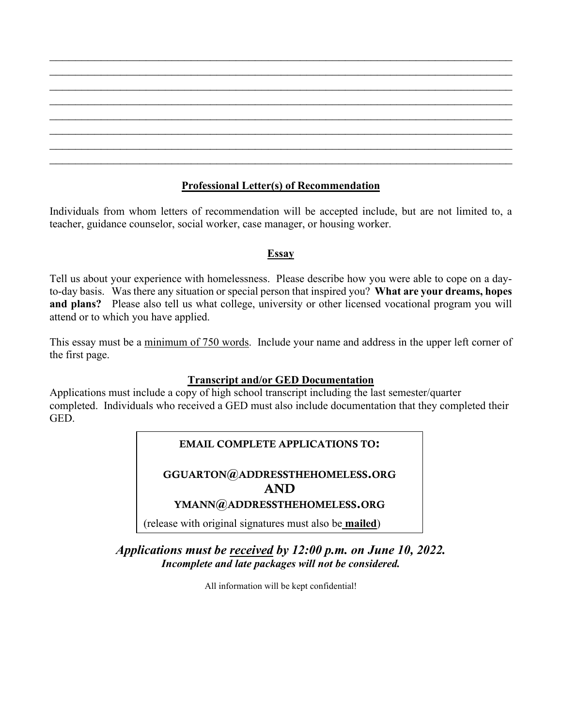## **Professional Letter(s) of Recommendation**

 $\mathcal{L}_\text{max}$  , and the contribution of the contribution of the contribution of the contribution of the contribution of the contribution of the contribution of the contribution of the contribution of the contribution of t  $\mathcal{L}_\text{max}$  , and the contract of the contract of the contract of the contract of the contract of the contract of the contract of the contract of the contract of the contract of the contract of the contract of the contr  $\mathcal{L}_\text{max}$  , and the contribution of the contribution of the contribution of the contribution of the contribution of the contribution of the contribution of the contribution of the contribution of the contribution of t  $\mathcal{L}_\text{max}$  , and the contract of the contract of the contract of the contract of the contract of the contract of the contract of the contract of the contract of the contract of the contract of the contract of the contr  $\mathcal{L}_\text{max}$  , and the contribution of the contribution of the contribution of the contribution of the contribution of the contribution of the contribution of the contribution of the contribution of the contribution of t  $\mathcal{L}_\text{max}$  , and the contract of the contract of the contract of the contract of the contract of the contract of the contract of the contract of the contract of the contract of the contract of the contract of the contr  $\mathcal{L}_\text{max}$  , and the contribution of the contribution of the contribution of the contribution of the contribution of the contribution of the contribution of the contribution of the contribution of the contribution of t  $\mathcal{L}_\text{max}$  , and the contribution of the contribution of the contribution of the contribution of the contribution of the contribution of the contribution of the contribution of the contribution of the contribution of t

Individuals from whom letters of recommendation will be accepted include, but are not limited to, a teacher, guidance counselor, social worker, case manager, or housing worker.

## **Essay**

Tell us about your experience with homelessness. Please describe how you were able to cope on a dayto-day basis. Was there any situation or special person that inspired you? **What are your dreams, hopes and plans?** Please also tell us what college, university or other licensed vocational program you will attend or to which you have applied.

This essay must be a minimum of 750 words. Include your name and address in the upper left corner of the first page.

## **Transcript and/or GED Documentation**

Applications must include a copy of high school transcript including the last semester/quarter completed. Individuals who received a GED must also include documentation that they completed their GED.

# EMAIL COMPLETE APPLICATIONS TO:

GGUARTON@ADDRESSTHEHOMELESS.ORG AND

## YMANN@ADDRESSTHEHOMELESS.ORG

(release with original signatures must also be **mailed**)

*Applications must be received by 12:00 p.m. on June 10, 2022. Incomplete and late packages will not be considered.*

All information will be kept confidential!